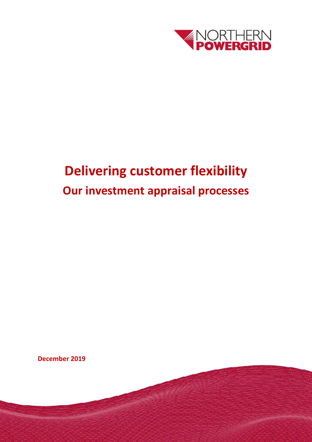

# **Delivering customer flexibility Our investment appraisal processes**

**December 2019** 

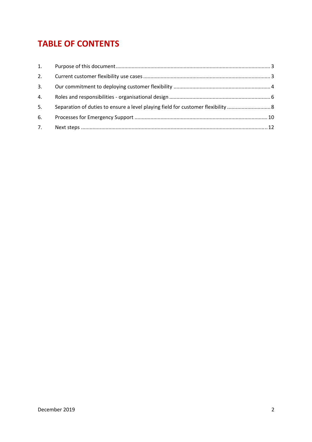# **TABLE OF CONTENTS**

| 1. |                                                                                  |  |
|----|----------------------------------------------------------------------------------|--|
| 2. |                                                                                  |  |
| 3. |                                                                                  |  |
| 4. |                                                                                  |  |
| 5. | Separation of duties to ensure a level playing field for customer flexibility  8 |  |
| 6. |                                                                                  |  |
| 7. |                                                                                  |  |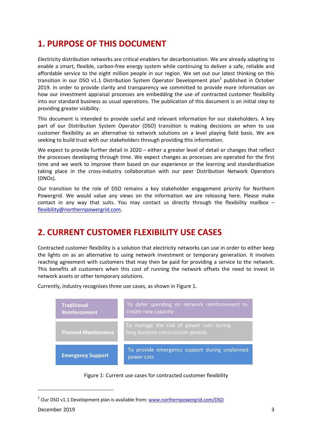# **1. PURPOSE OF THIS DOCUMENT**

Electricity distribution networks are critical enablers for decarbonisation. We are already adapting to enable a smart, flexible, carbon-free energy system while continuing to deliver a safe, reliable and affordable service to the eight million people in our region. We set out our latest thinking on this transition in our DSO v1.1 Distribution System Operator Development plan<sup>1</sup> published in October 2019. In order to provide clarity and transparency we committed to provide more information on how our investment appraisal processes are embedding the use of contracted customer flexibility into our standard business as usual operations. The publication of this document is an initial step to providing greater visibility.

This document is intended to provide useful and relevant information for our stakeholders. A key part of our Distribution System Operator (DSO) transition is making decisions on when to use customer flexibility as an alternative to network solutions on a level playing field basis. We are seeking to build trust with our stakeholders through providing this information.

We expect to provide further detail in 2020 – either a greater level of detail or changes that reflect the processes developing through time. We expect changes as processes are operated for the first time and we work to improve them based on our experience or the learning and standardisation taking place in the cross-industry collaboration with our peer Distribution Network Operators (DNOs).

Our transition to the role of DSO remains a key stakeholder engagement priority for Northern Powergrid. We would value any views on the information we are releasing here. Please make contact in any way that suits. You may contact us directly through the flexibility mailbox – flexibility@northernpowergrid.com.

# **2. CURRENT CUSTOMER FLEXIBILITY USE CASES**

Contracted customer flexibility is a solution that electricity networks can use in order to either keep the lights on as an alternative to using network investment or temporary generation. It involves reaching agreement with customers that may then be paid for providing a service to the network. This benefits all customers when this cost of running the network offsets the need to invest in network assets or other temporary solutions.

**Contract Contract Contract Contract Traditional Reinforcement Planned Maintenance Emergency Support** To defer spending on network reinforcement to create new capacity To manage the risk of power cuts during To provide emergency support during unplanned power cuts

Currently, industry recognises three use cases, as shown in Figure 1.



 $1$  Our DSO v1.1 Development plan is available from: www.northernpowergrid.com/DSO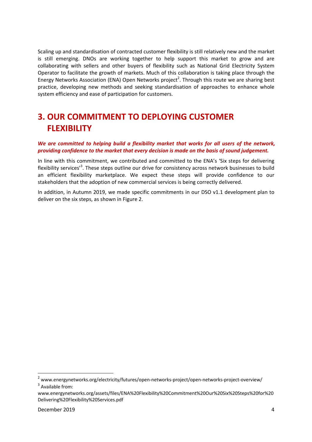Scaling up and standardisation of contracted customer flexibility is still relatively new and the market is still emerging. DNOs are working together to help support this market to grow and are collaborating with sellers and other buyers of flexibility such as National Grid Electricity System Operator to facilitate the growth of markets. Much of this collaboration is taking place through the Energy Networks Association (ENA) Open Networks project<sup>2</sup>. Through this route we are sharing best practice, developing new methods and seeking standardisation of approaches to enhance whole system efficiency and ease of participation for customers.

# **3. OUR COMMITMENT TO DEPLOYING CUSTOMER FLEXIBILITY**

#### *We are committed to helping build a flexibility market that works for all users of the network, providing confidence to the market that every decision is made on the basis of sound judgement.*

In line with this commitment, we contributed and committed to the ENA's 'Six steps for delivering flexibility services<sup>,3</sup>. These steps outline our drive for consistency across network businesses to build an efficient flexibility marketplace. We expect these steps will provide confidence to our stakeholders that the adoption of new commercial services is being correctly delivered.

In addition, in Autumn 2019, we made specific commitments in our DSO v1.1 development plan to deliver on the six steps, as shown in Figure 2.

<sup>&</sup>lt;sup>2</sup> www.energynetworks.org/electricity/futures/open-networks-project/open-networks-project-overview/  $3$  Available from:

www.energynetworks.org/assets/files/ENA%20Flexibility%20Commitment%20Our%20Six%20Steps%20for%20 Delivering%20Flexibility%20Services.pdf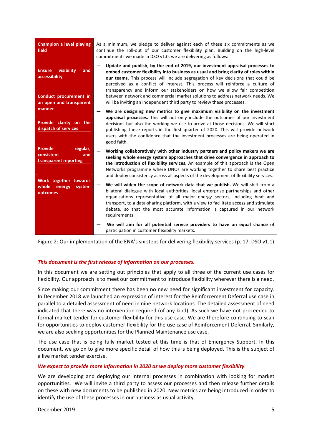| <b>Champion a level playing</b><br>field                                      | As a minimum, we pledge to deliver against each of these six commitments as we<br>continue the roll-out of our customer flexibility plan. Building on the high-level<br>commitments we made in DSO v1.0, we are delivering as follows:                                                                                                                                                                                                                                                                |  |
|-------------------------------------------------------------------------------|-------------------------------------------------------------------------------------------------------------------------------------------------------------------------------------------------------------------------------------------------------------------------------------------------------------------------------------------------------------------------------------------------------------------------------------------------------------------------------------------------------|--|
| visibility<br><b>Ensure</b><br>and<br>accessibility<br>Conduct procurement in | Update and publish, by the end of 2019, our investment appraisal processes to<br>embed customer flexibility into business as usual and bring clarity of roles within<br>our teams. This process will include segregation of key decisions that could be<br>perceived as a conflict of interest. This process will reinforce a culture of<br>transparency and inform our stakeholders on how we allow fair competition<br>between network and commercial market solutions to address network needs. We |  |
| an open and transparent<br>manner                                             | will be inviting an independent third party to review these processes.<br>We are designing new metrics to give maximum visibility on the investment                                                                                                                                                                                                                                                                                                                                                   |  |
| Provide clarity on the<br>dispatch of services                                | appraisal processes. This will not only include the outcomes of our investment<br>decisions but also the working we use to arrive at those decisions. We will start<br>publishing these reports in the first quarter of 2020. This will provide network<br>users with the confidence that the investment processes are being operated in<br>good faith.                                                                                                                                               |  |
| <b>Provide</b><br>regular,<br>consistent<br>and<br>transparent reporting      | Working collaboratively with other industry partners and policy makers we are<br>seeking whole energy system approaches that drive convergence in approach to<br>the introduction of flexibility services. An example of this approach is the Open<br>Networks programme where DNOs are working together to share best practice<br>and deploy consistency across all aspects of the development of flexibility services.                                                                              |  |
| Work together towards<br>whole<br>energy<br>system<br>outcomes                | We will widen the scope of network data that we publish. We will shift from a<br>bilateral dialogue with local authorities, local enterprise partnerships and other<br>organisations representative of all major energy sectors, including heat and<br>transport, to a data-sharing platform, with a view to facilitate access and stimulate<br>debate, so that the most accurate information is captured in our network<br>requirements.                                                             |  |
|                                                                               | We will aim for all potential service providers to have an equal chance of<br>participation in customer flexibility markets.                                                                                                                                                                                                                                                                                                                                                                          |  |

Figure 2: Our implementation of the ENA's six steps for delivering flexibility services (p. 17, DSO v1.1)

#### *This document is the first release of information on our processes.*

In this document we are setting out principles that apply to all three of the current use cases for flexibility. Our approach is to meet our commitment to introduce flexibility wherever there is a need.

Since making our commitment there has been no new need for significant investment for capacity. In December 2018 we launched an expression of interest for the Reinforcement Deferral use case in parallel to a detailed assessment of need in nine network locations. The detailed assessment of need indicated that there was no intervention required (of any kind). As such we have not proceeded to formal market tender for customer flexibility for this use case. We are therefore continuing to scan for opportunities to deploy customer flexibility for the use case of Reinforcement Deferral. Similarly, we are also seeking opportunities for the Planned Maintenance use case.

The use case that is being fully market tested at this time is that of Emergency Support. In this document, we go on to give more specific detail of how this is being deployed. This is the subject of a live market tender exercise.

#### *We expect to provide more information in 2020 as we deploy more customer flexibility.*

We are developing and deploying our internal processes in combination with looking for market opportunities. We will invite a third party to assess our processes and then release further details on these with new documents to be published in 2020. New metrics are being introduced in order to identify the use of these processes in our business as usual activity.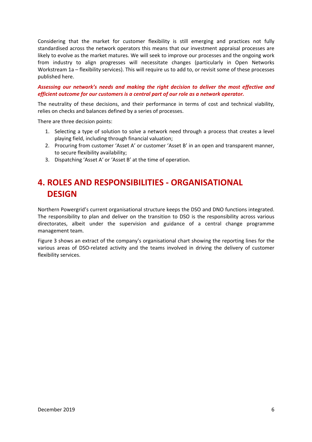Considering that the market for customer flexibility is still emerging and practices not fully standardised across the network operators this means that our investment appraisal processes are likely to evolve as the market matures. We will seek to improve our processes and the ongoing work from industry to align progresses will necessitate changes (particularly in Open Networks Workstream 1a – flexibility services). This will require us to add to, or revisit some of these processes published here.

#### *Assessing our network's needs and making the right decision to deliver the most effective and efficient outcome for our customers is a central part of our role as a network operator.*

The neutrality of these decisions, and their performance in terms of cost and technical viability, relies on checks and balances defined by a series of processes.

There are three decision points:

- 1. Selecting a type of solution to solve a network need through a process that creates a level playing field, including through financial valuation;
- 2. Procuring from customer 'Asset A' or customer 'Asset B' in an open and transparent manner, to secure flexibility availability;
- 3. Dispatching 'Asset A' or 'Asset B' at the time of operation.

# **4. ROLES AND RESPONSIBILITIES ‐ ORGANISATIONAL DESIGN**

Northern Powergrid's current organisational structure keeps the DSO and DNO functions integrated. The responsibility to plan and deliver on the transition to DSO is the responsibility across various directorates, albeit under the supervision and guidance of a central change programme management team.

Figure 3 shows an extract of the company's organisational chart showing the reporting lines for the various areas of DSO‐related activity and the teams involved in driving the delivery of customer flexibility services.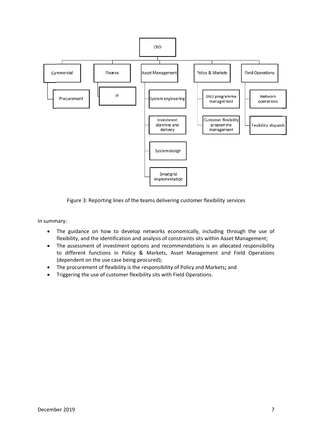

Figure 3: Reporting lines of the teams delivering customer flexibility services

In summ mary:

- $\bullet$ The guidance on how to develop networks economically, including through the use of flexibility, and the identification and analysis of constraints sits within Asset Management;
- $\bullet$ The assessment of investment options and recommendations is an allocated responsibility to different functions in Policy & Markets, Asset Management and Field Operations (dependent on the use case being procured);
- $\bullet$ The procurement of flexibility is the responsibility of Policy and Markets; and
- $\bullet$ Triggering the use of customer flexibility sits with Field Operations.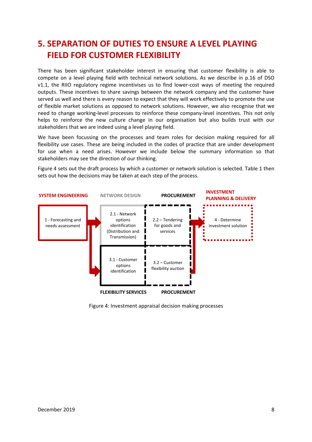# **5. SEPARATION OF DUTIES TO ENSURE A LEVEL PLAYING FIELD FOR CUSTOMER FLEXIBILITY**

There has been significant stakeholder interest in ensuring that customer flexibility is able to compete on a level playing field with technical network solutions. As we describe in p.16 of DSO v1.1, the RIIO regulatory regime incentivises us to find lower-cost ways of meeting the required outputs. These incentives to share savings between the network company and the customer have served us well and there is every reason to expect that they will work effectively to promote the use of flexible market solutions as opposed to network solutions. However, we also recognise that we need to change working‐level processes to reinforce these company‐level incentives. This not only helps to reinforce the new culture change in our organisation but also builds trust with our stakeholders that we are indeed using a level playing field.

We have been focussing on the processes and team roles for decision making required for all flexibility use cases. These are being included in the codes of practice that are under development for use when a need arises. However we include below the summary information so that stakeholders may see the direction of our thinking.

Figure 4 sets out the draft process by which a customer or network solution is selected. Table 1 then sets out how the decisions may be taken at each step of the process.



Figure 4: Investment appraisal decision making processes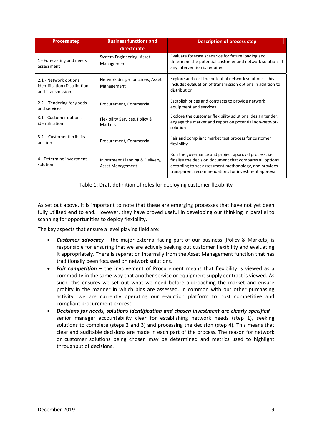| <b>Process step</b>                                                        | <b>Business functions and</b><br>directorate               | <b>Description of process step</b>                                                                                                                                                                                                |
|----------------------------------------------------------------------------|------------------------------------------------------------|-----------------------------------------------------------------------------------------------------------------------------------------------------------------------------------------------------------------------------------|
| 1 - Forecasting and needs<br>assessment                                    | System Engineering, Asset<br>Management                    | Evaluate forecast scenarios for future loading and<br>determine the potential customer and network solutions if<br>any intervention is required                                                                                   |
| 2.1 - Network options<br>identification (Distribution<br>and Transmission) | Network design functions, Asset<br>Management              | Explore and cost the potential network solutions - this<br>includes evaluation of transmission options in addition to<br>distribution                                                                                             |
| $2.2 -$ Tendering for goods<br>and services                                | Procurement, Commercial                                    | Establish prices and contracts to provide network<br>equipment and services                                                                                                                                                       |
| 3.1 - Customer options<br>identification                                   | Flexibility Services, Policy &<br>Markets                  | Explore the customer flexibility solutions, design tender,<br>engage the market and report on potential non-network<br>solution                                                                                                   |
| 3.2 - Customer flexibility<br>auction                                      | Procurement, Commercial                                    | Fair and compliant market test process for customer<br>flexibility                                                                                                                                                                |
| 4 - Determine investment<br>solution                                       | Investment Planning & Delivery,<br><b>Asset Management</b> | Run the governance and project approval process: i.e.<br>finalise the decision document that compares all options<br>according to set assessment methodology, and provides<br>transparent recommendations for investment approval |

Table 1: Draft definition of roles for deploying customer flexibility

As set out above, it is important to note that these are emerging processes that have not yet been fully utilised end to end. However, they have proved useful in developing our thinking in parallel to scanning for opportunities to deploy flexibility.

The key aspects that ensure a level playing field are:

- *Customer advocacy* the major external‐facing part of our business (Policy & Markets) is responsible for ensuring that we are actively seeking out customer flexibility and evaluating it appropriately. There is separation internally from the Asset Management function that has traditionally been focussed on network solutions.
- *Fair competition* the involvement of Procurement means that flexibility is viewed as a commodity in the same way that another service or equipment supply contract is viewed. As such, this ensures we set out what we need before approaching the market and ensure probity in the manner in which bids are assessed. In common with our other purchasing activity, we are currently operating our e-auction platform to host competitive and compliant procurement process.
- *Decisions for needs, solutions identification and chosen investment are clearly specified* senior manager accountability clear for establishing network needs (step 1), seeking solutions to complete (steps 2 and 3) and processing the decision (step 4). This means that clear and auditable decisions are made in each part of the process. The reason for network or customer solutions being chosen may be determined and metrics used to highlight throughput of decisions.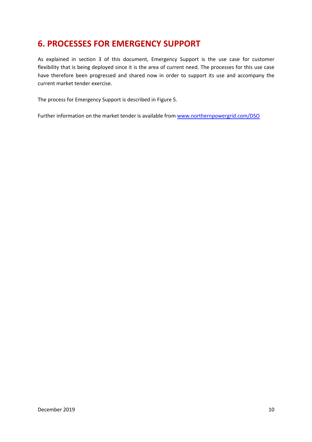### **6. PROCESSES FOR EMERGENCY SUPPORT**

As explained in section 3 of this document, Emergency Support is the use case for customer flexibility that is being deployed since it is the area of current need. The processes for this use case have therefore been progressed and shared now in order to support its use and accompany the current market tender exercise.

The process for Emergency Support is described in Figure 5.

Further information on the market tender is available from www.northernpowergrid.com/DSO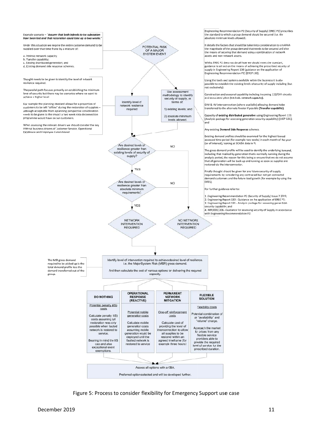

Figure 5: Process to consider flexibility for Emergency Support use case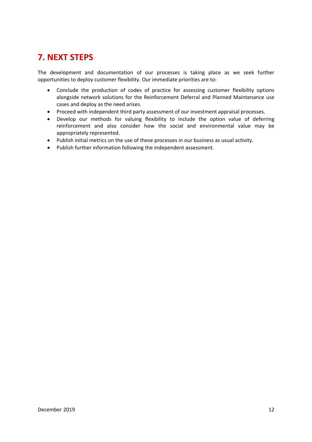# **7. NEXT STEPS**

The development and documentation of our processes is taking place as we seek further opportunities to deploy customer flexibility. Our immediate priorities are to:

- Conclude the production of codes of practice for assessing customer flexibility options alongside network solutions for the Reinforcement Deferral and Planned Maintenance use cases and deploy as the need arises.
- Proceed with independent third party assessment of our investment appraisal processes.
- Develop our methods for valuing flexibility to include the option value of deferring reinforcement and also consider how the social and environmental value may be appropriately represented.
- Publish initial metrics on the use of these processes in our business as usual activity.
- Publish further information following the independent assessment.